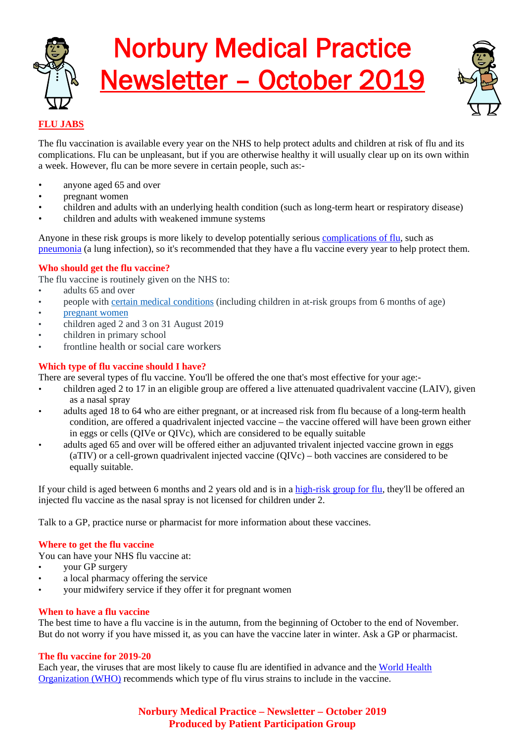

# Norbury Medical Practice Newsletter – October 2019



## **FLU JABS**

The flu vaccination is available every year on the NHS to help protect adults and children at risk of flu and its complications. Flu can be unpleasant, but if you are otherwise healthy it will usually clear up on its own within a week. However, flu can be more severe in certain people, such as:-

- anyone aged 65 and over
- pregnant women
- children and adults with an underlying health condition (such as long-term heart or respiratory disease)
- children and adults with weakened immune systems

Anyone in these risk groups is more likely to develop potentially serious [complications of flu,](https://www.nhs.uk/conditions/flu/) such as [pneumonia](https://www.nhs.uk/conditions/pneumonia/) (a lung infection), so it's recommended that they have a flu vaccine every year to help protect them.

#### **Who should get the flu vaccine?**

The flu vaccine is routinely given on the NHS to:

- adults 65 and over
- people with [certain medical conditions](https://www.nhs.uk/conditions/vaccinations/who-should-have-flu-vaccine/#flu-vaccine-for-people-with-medical-conditions) (including children in at-risk groups from 6 months of age)
- [pregnant women](https://www.nhs.uk/conditions/vaccinations/who-should-have-flu-vaccine/#pregnant-women-and-the-flu-vaccine)
- children aged 2 and 3 on 31 August 2019
- children in primary school
- frontline health or social care workers

### **Which type of flu vaccine should I have?**

There are several types of flu vaccine. You'll be offered the one that's most effective for your age:-

- children aged 2 to 17 in an eligible group are offered a live attenuated quadrivalent vaccine (LAIV), given as a nasal spray
- adults aged 18 to 64 who are either pregnant, or at increased risk from flu because of a long-term health condition, are offered a quadrivalent injected vaccine – the vaccine offered will have been grown either in eggs or cells (QIVe or QIVc), which are considered to be equally suitable
- adults aged 65 and over will be offered either an adjuvanted trivalent injected vaccine grown in eggs (aTIV) or a cell-grown quadrivalent injected vaccine (QIVc) – both vaccines are considered to be equally suitable.

If your child is aged between 6 months and 2 years old and is in a [high-risk group for flu,](https://www.nhs.uk/conditions/vaccinations/child-flu-vaccine/#children-at-higher-risk-from-flu) they'll be offered an injected flu vaccine as the nasal spray is not licensed for children under 2.

Talk to a GP, practice nurse or pharmacist for more information about these vaccines.

#### **Where to get the flu vaccine**

You can have your NHS flu vaccine at:

- your GP surgery
- a local pharmacy offering the service
- your midwifery service if they offer it for pregnant women

#### **When to have a flu vaccine**

The best time to have a flu vaccine is in the autumn, from the beginning of October to the end of November. But do not worry if you have missed it, as you can have the vaccine later in winter. Ask a GP or pharmacist.

#### **The flu vaccine for 2019-20**

Each year, the viruses that are most likely to cause flu are identified in advance and th[e World Health](https://www.who.int/influenza/vaccines/virus/recommendations/2019_20_north/en/)  [Organization \(WHO\)](https://www.who.int/influenza/vaccines/virus/recommendations/2019_20_north/en/) recommends which type of flu virus strains to include in the vaccine.

> **Norbury Medical Practice – Newsletter – October 2019 Produced by Patient Participation Group**